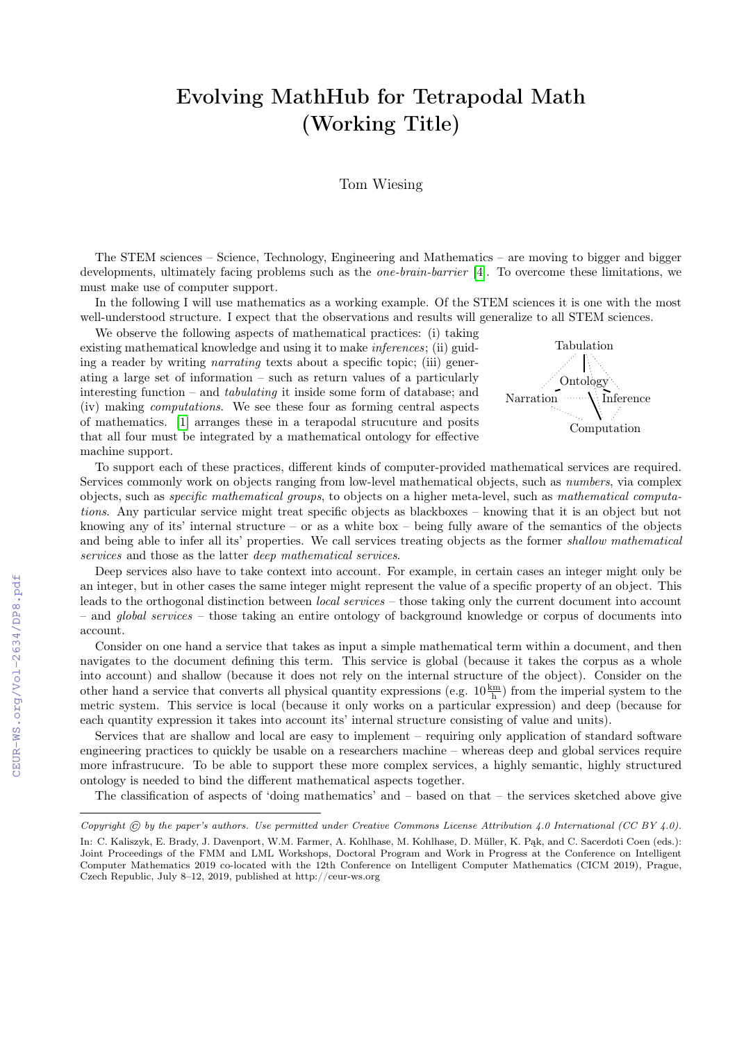## Evolving MathHub for Tetrapodal Math (Working Title)

Tom Wiesing

The STEM sciences – Science, Technology, Engineering and Mathematics – are moving to bigger and bigger developments, ultimately facing problems such as the *one-brain-barrier* [\[4\]](#page--1-0). To overcome these limitations, we must make use of computer support.

In the following I will use mathematics as a working example. Of the STEM sciences it is one with the most well-understood structure. I expect that the observations and results will generalize to all STEM sciences.

We observe the following aspects of mathematical practices: (i) taking existing mathematical knowledge and using it to make *inferences*; (ii) guiding a reader by writing narrating texts about a specific topic; (iii) generating a large set of information – such as return values of a particularly interesting function – and *tabulating* it inside some form of database; and (iv) making computations. We see these four as forming central aspects of mathematics. [\[1\]](#page--1-1) arranges these in a terapodal strucuture and posits that all four must be integrated by a mathematical ontology for effective machine support.



To support each of these practices, different kinds of computer-provided mathematical services are required. Services commonly work on objects ranging from low-level mathematical objects, such as numbers, via complex objects, such as specific mathematical groups, to objects on a higher meta-level, such as mathematical computations. Any particular service might treat specific objects as blackboxes – knowing that it is an object but not knowing any of its' internal structure – or as a white box – being fully aware of the semantics of the objects and being able to infer all its' properties. We call services treating objects as the former shallow mathematical services and those as the latter *deep* mathematical services.

Deep services also have to take context into account. For example, in certain cases an integer might only be an integer, but in other cases the same integer might represent the value of a specific property of an object. This leads to the orthogonal distinction between local services – those taking only the current document into account – and global services – those taking an entire ontology of background knowledge or corpus of documents into account.

Consider on one hand a service that takes as input a simple mathematical term within a document, and then navigates to the document defining this term. This service is global (because it takes the corpus as a whole into account) and shallow (because it does not rely on the internal structure of the object). Consider on the other hand a service that converts all physical quantity expressions (e.g.  $10\frac{\text{km}}{\text{h}}$ ) from the imperial system to the metric system. This service is local (because it only works on a particular expression) and deep (because for each quantity expression it takes into account its' internal structure consisting of value and units).

Services that are shallow and local are easy to implement – requiring only application of standard software engineering practices to quickly be usable on a researchers machine – whereas deep and global services require more infrastrucure. To be able to support these more complex services, a highly semantic, highly structured ontology is needed to bind the different mathematical aspects together.

The classification of aspects of 'doing mathematics' and  $-$  based on that  $-$  the services sketched above give

Copyright  $\odot$  by the paper's authors. Use permitted under Creative Commons License Attribution 4.0 International (CC BY 4.0). In: C. Kaliszyk, E. Brady, J. Davenport, W.M. Farmer, A. Kohlhase, M. Kohlhase, D. Müller, K. Pąk, and C. Sacerdoti Coen (eds.): Joint Proceedings of the FMM and LML Workshops, Doctoral Program and Work in Progress at the Conference on Intelligent Computer Mathematics 2019 co-located with the 12th Conference on Intelligent Computer Mathematics (CICM 2019), Prague, Czech Republic, July 8–12, 2019, published at http://ceur-ws.org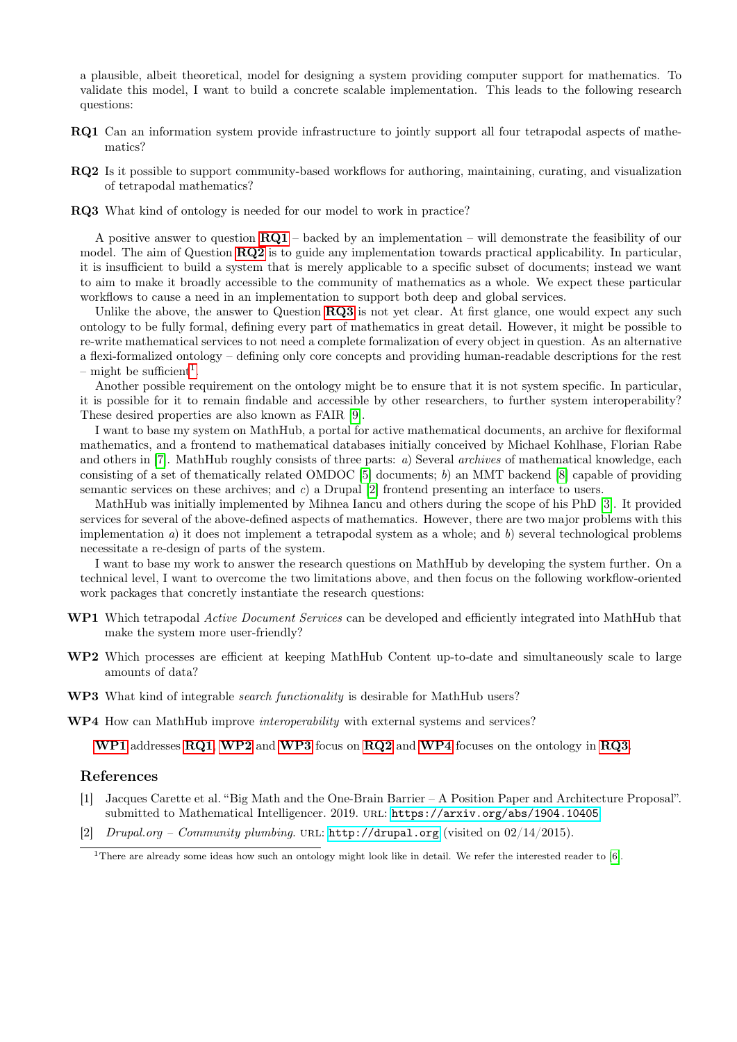a plausible, albeit theoretical, model for designing a system providing computer support for mathematics. To validate this model, I want to build a concrete scalable implementation. This leads to the following research questions:

- <span id="page-1-0"></span>RQ1 Can an information system provide infrastructure to jointly support all four tetrapodal aspects of mathematics?
- <span id="page-1-1"></span>RQ2 Is it possible to support community-based workflows for authoring, maintaining, curating, and visualization of tetrapodal mathematics?
- <span id="page-1-2"></span>RQ3 What kind of ontology is needed for our model to work in practice?

A positive answer to question  $\textbf{RQ1}$  $\textbf{RQ1}$  $\textbf{RQ1}$  – backed by an implementation – will demonstrate the feasibility of our model. The aim of Question [RQ2](#page-1-1) is to guide any implementation towards practical applicability. In particular, it is insufficient to build a system that is merely applicable to a specific subset of documents; instead we want to aim to make it broadly accessible to the community of mathematics as a whole. We expect these particular workflows to cause a need in an implementation to support both deep and global services.

Unlike the above, the answer to Question  $RQ3$  is not yet clear. At first glance, one would expect any such ontology to be fully formal, defining every part of mathematics in great detail. However, it might be possible to re-write mathematical services to not need a complete formalization of every object in question. As an alternative a flexi-formalized ontology – defining only core concepts and providing human-readable descriptions for the rest  $-$  might be sufficient<sup>[1](#page-1-3)</sup>.

Another possible requirement on the ontology might be to ensure that it is not system specific. In particular, it is possible for it to remain findable and accessible by other researchers, to further system interoperability? These desired properties are also known as FAIR [\[9\]](#page-2-0).

I want to base my system on MathHub, a portal for active mathematical documents, an archive for flexiformal mathematics, and a frontend to mathematical databases initially conceived by Michael Kohlhase, Florian Rabe and others in [\[7\]](#page-2-1). MathHub roughly consists of three parts: a) Several archives of mathematical knowledge, each consisting of a set of thematically related OMDOC  $[5]$  documents; b) an MMT backend  $[8]$  capable of providing semantic services on these archives; and c) a Drupal [\[2\]](#page-1-4) frontend presenting an interface to users.

MathHub was initially implemented by Mihnea Iancu and others during the scope of his PhD [\[3\]](#page-2-4). It provided services for several of the above-defined aspects of mathematics. However, there are two major problems with this implementation  $a$ ) it does not implement a tetrapodal system as a whole; and  $b$ ) several technological problems necessitate a re-design of parts of the system.

I want to base my work to answer the research questions on MathHub by developing the system further. On a technical level, I want to overcome the two limitations above, and then focus on the following workflow-oriented work packages that concretly instantiate the research questions:

- <span id="page-1-5"></span>WP1 Which tetrapodal Active Document Services can be developed and efficiently integrated into MathHub that make the system more user-friendly?
- <span id="page-1-6"></span>WP2 Which processes are efficient at keeping MathHub Content up-to-date and simultaneously scale to large amounts of data?
- <span id="page-1-7"></span>WP3 What kind of integrable *search functionality* is desirable for MathHub users?

<span id="page-1-8"></span>WP4 How can MathHub improve *interoperability* with external systems and services?

[WP1](#page-1-5) addresses [RQ1](#page-1-0), [WP2](#page-1-6) and [WP3](#page-1-7) focus on [RQ2](#page-1-1) and [WP4](#page-1-8) focuses on the ontology in [RQ3](#page-1-2).

## References

- [1] Jacques Carette et al. "Big Math and the One-Brain Barrier A Position Paper and Architecture Proposal". submitted to Mathematical Intelligencer. 2019. url: <https://arxiv.org/abs/1904.10405>.
- <span id="page-1-4"></span>[2] Drupal.org – Community plumbing. URL:  $http://drupal.org$  (visited on  $02/14/2015$ ).

<span id="page-1-3"></span><sup>&</sup>lt;sup>1</sup>There are already some ideas how such an ontology might look like in detail. We refer the interested reader to [\[6\]](#page-2-5).